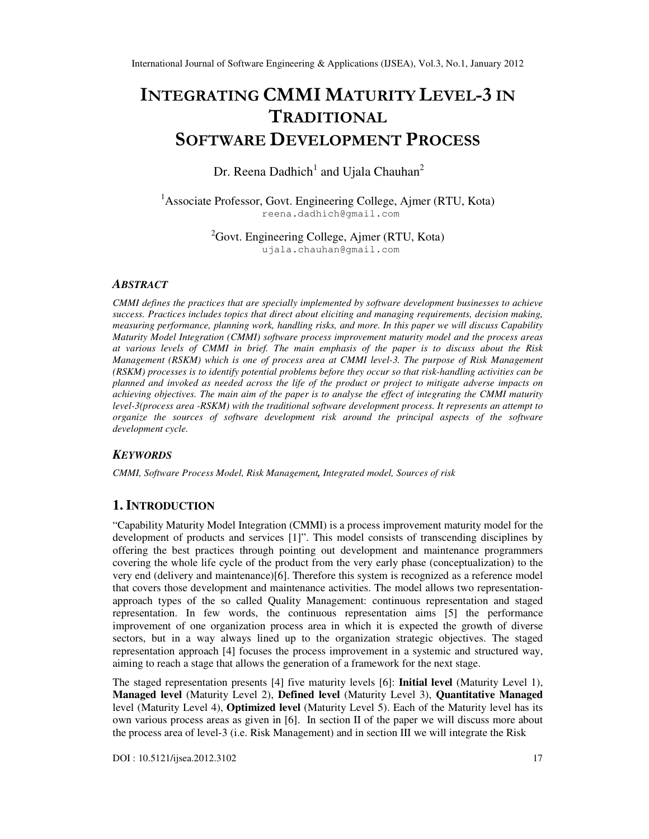# INTEGRATING CMMI MATURITY LEVEL-3 IN **TRADITIONAL** SOFTWARE DEVELOPMENT PROCESS

Dr. Reena Dadhich<sup>1</sup> and Ujala Chauhan<sup>2</sup>

<sup>1</sup> Associate Professor, Govt. Engineering College, Ajmer (RTU, Kota) reena.dadhich@gmail.com

> ${}^{2}$ Govt. Engineering College, Ajmer (RTU, Kota) ujala.chauhan@gmail.com

## *ABSTRACT*

*CMMI defines the practices that are specially implemented by software development businesses to achieve success. Practices includes topics that direct about eliciting and managing requirements, decision making, measuring performance, planning work, handling risks, and more. In this paper we will discuss Capability Maturity Model Integration (CMMI) software process improvement maturity model and the process areas at various levels of CMMI in brief. The main emphasis of the paper is to discuss about the Risk Management (RSKM) which is one of process area at CMMI level-3. The purpose of Risk Management (RSKM) processes is to identify potential problems before they occur so that risk-handling activities can be planned and invoked as needed across the life of the product or project to mitigate adverse impacts on achieving objectives. The main aim of the paper is to analyse the effect of integrating the CMMI maturity level-3(process area -RSKM) with the traditional software development process. It represents an attempt to organize the sources of software development risk around the principal aspects of the software development cycle.* 

# *KEYWORDS*

*CMMI, Software Process Model, Risk Management, Integrated model, Sources of risk*

# **1. INTRODUCTION**

"Capability Maturity Model Integration (CMMI) is a process improvement maturity model for the development of products and services [1]". This model consists of transcending disciplines by offering the best practices through pointing out development and maintenance programmers covering the whole life cycle of the product from the very early phase (conceptualization) to the very end (delivery and maintenance)[6]. Therefore this system is recognized as a reference model that covers those development and maintenance activities. The model allows two representationapproach types of the so called Quality Management: continuous representation and staged representation. In few words, the continuous representation aims [5] the performance improvement of one organization process area in which it is expected the growth of diverse sectors, but in a way always lined up to the organization strategic objectives. The staged representation approach [4] focuses the process improvement in a systemic and structured way, aiming to reach a stage that allows the generation of a framework for the next stage.

The staged representation presents [4] five maturity levels [6]: **Initial level** (Maturity Level 1), **Managed level** (Maturity Level 2), **Defined level** (Maturity Level 3), **Quantitative Managed** level (Maturity Level 4), **Optimized level** (Maturity Level 5). Each of the Maturity level has its own various process areas as given in [6]. In section II of the paper we will discuss more about the process area of level-3 (i.e. Risk Management) and in section III we will integrate the Risk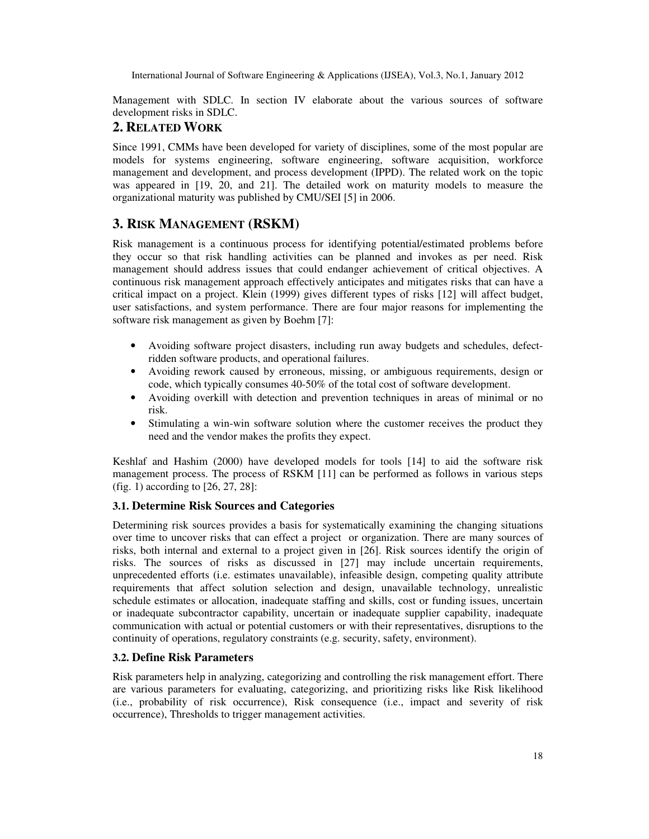Management with SDLC. In section IV elaborate about the various sources of software development risks in SDLC.

## **2. RELATED WORK**

Since 1991, CMMs have been developed for variety of disciplines, some of the most popular are models for systems engineering, software engineering, software acquisition, workforce management and development, and process development (IPPD). The related work on the topic was appeared in [19, 20, and 21]. The detailed work on maturity models to measure the organizational maturity was published by CMU/SEI [5] in 2006.

# **3. RISK MANAGEMENT (RSKM)**

Risk management is a continuous process for identifying potential/estimated problems before they occur so that risk handling activities can be planned and invokes as per need. Risk management should address issues that could endanger achievement of critical objectives. A continuous risk management approach effectively anticipates and mitigates risks that can have a critical impact on a project. Klein (1999) gives different types of risks [12] will affect budget, user satisfactions, and system performance. There are four major reasons for implementing the software risk management as given by Boehm [7]:

- Avoiding software project disasters, including run away budgets and schedules, defectridden software products, and operational failures.
- Avoiding rework caused by erroneous, missing, or ambiguous requirements, design or code, which typically consumes 40-50% of the total cost of software development.
- Avoiding overkill with detection and prevention techniques in areas of minimal or no risk.
- Stimulating a win-win software solution where the customer receives the product they need and the vendor makes the profits they expect.

Keshlaf and Hashim (2000) have developed models for tools [14] to aid the software risk management process. The process of RSKM [11] can be performed as follows in various steps (fig. 1) according to [26, 27, 28]:

## **3.1. Determine Risk Sources and Categories**

Determining risk sources provides a basis for systematically examining the changing situations over time to uncover risks that can effect a project or organization. There are many sources of risks, both internal and external to a project given in [26]. Risk sources identify the origin of risks. The sources of risks as discussed in [27] may include uncertain requirements, unprecedented efforts (i.e. estimates unavailable), infeasible design, competing quality attribute requirements that affect solution selection and design, unavailable technology, unrealistic schedule estimates or allocation, inadequate staffing and skills, cost or funding issues, uncertain or inadequate subcontractor capability, uncertain or inadequate supplier capability, inadequate communication with actual or potential customers or with their representatives, disruptions to the continuity of operations, regulatory constraints (e.g. security, safety, environment).

## **3.2. Define Risk Parameters**

Risk parameters help in analyzing, categorizing and controlling the risk management effort. There are various parameters for evaluating, categorizing, and prioritizing risks like Risk likelihood (i.e., probability of risk occurrence), Risk consequence (i.e., impact and severity of risk occurrence), Thresholds to trigger management activities.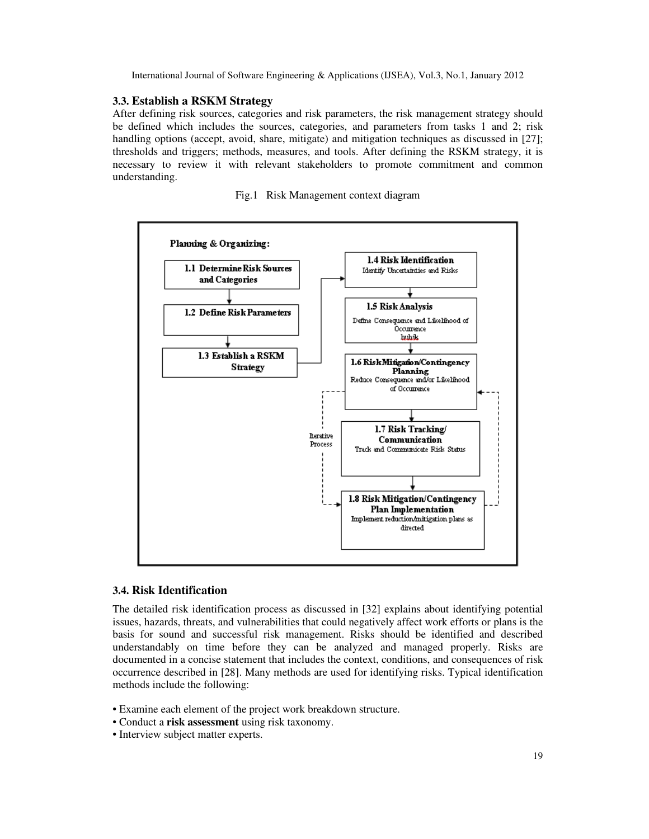#### **3.3. Establish a RSKM Strategy**

After defining risk sources, categories and risk parameters, the risk management strategy should be defined which includes the sources, categories, and parameters from tasks 1 and 2; risk handling options (accept, avoid, share, mitigate) and mitigation techniques as discussed in [27]; thresholds and triggers; methods, measures, and tools. After defining the RSKM strategy, it is necessary to review it with relevant stakeholders to promote commitment and common understanding.

Fig.1 Risk Management context diagram



#### **3.4. Risk Identification**

The detailed risk identification process as discussed in [32] explains about identifying potential issues, hazards, threats, and vulnerabilities that could negatively affect work efforts or plans is the basis for sound and successful risk management. Risks should be identified and described understandably on time before they can be analyzed and managed properly. Risks are documented in a concise statement that includes the context, conditions, and consequences of risk occurrence described in [28]. Many methods are used for identifying risks. Typical identification methods include the following:

- Examine each element of the project work breakdown structure.
- Conduct a **risk assessment** using risk taxonomy.
- Interview subject matter experts.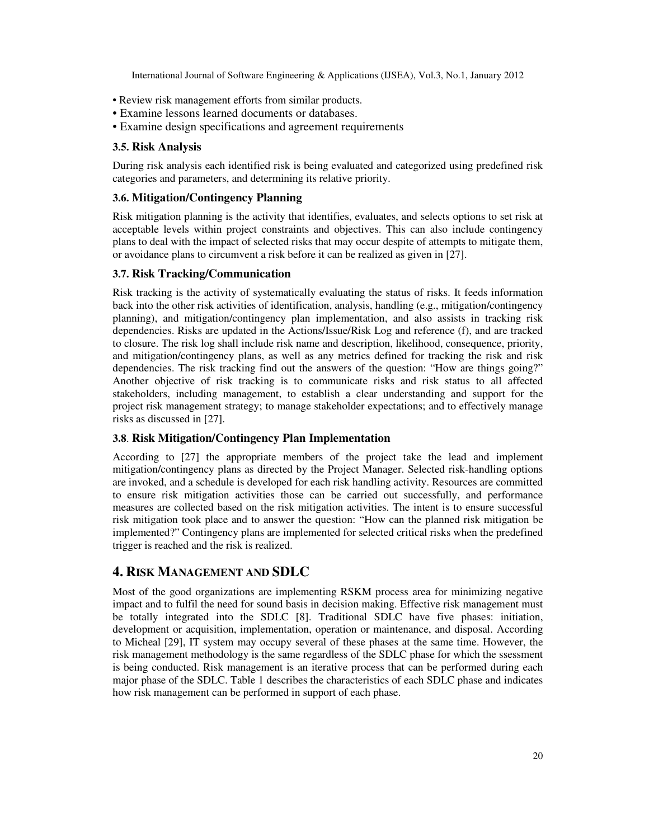- Review risk management efforts from similar products.
- Examine lessons learned documents or databases.
- Examine design specifications and agreement requirements

## **3.5. Risk Analysis**

During risk analysis each identified risk is being evaluated and categorized using predefined risk categories and parameters, and determining its relative priority.

## **3.6. Mitigation/Contingency Planning**

Risk mitigation planning is the activity that identifies, evaluates, and selects options to set risk at acceptable levels within project constraints and objectives. This can also include contingency plans to deal with the impact of selected risks that may occur despite of attempts to mitigate them, or avoidance plans to circumvent a risk before it can be realized as given in [27].

## **3.7. Risk Tracking/Communication**

Risk tracking is the activity of systematically evaluating the status of risks. It feeds information back into the other risk activities of identification, analysis, handling (e.g., mitigation/contingency planning), and mitigation/contingency plan implementation, and also assists in tracking risk dependencies. Risks are updated in the Actions/Issue/Risk Log and reference (f), and are tracked to closure. The risk log shall include risk name and description, likelihood, consequence, priority, and mitigation/contingency plans, as well as any metrics defined for tracking the risk and risk dependencies. The risk tracking find out the answers of the question: "How are things going?" Another objective of risk tracking is to communicate risks and risk status to all affected stakeholders, including management, to establish a clear understanding and support for the project risk management strategy; to manage stakeholder expectations; and to effectively manage risks as discussed in [27].

## **3.8**. **Risk Mitigation/Contingency Plan Implementation**

According to [27] the appropriate members of the project take the lead and implement mitigation/contingency plans as directed by the Project Manager. Selected risk-handling options are invoked, and a schedule is developed for each risk handling activity. Resources are committed to ensure risk mitigation activities those can be carried out successfully, and performance measures are collected based on the risk mitigation activities. The intent is to ensure successful risk mitigation took place and to answer the question: "How can the planned risk mitigation be implemented?" Contingency plans are implemented for selected critical risks when the predefined trigger is reached and the risk is realized.

# **4. RISK MANAGEMENT AND SDLC**

Most of the good organizations are implementing RSKM process area for minimizing negative impact and to fulfil the need for sound basis in decision making. Effective risk management must be totally integrated into the SDLC [8]. Traditional SDLC have five phases: initiation, development or acquisition, implementation, operation or maintenance, and disposal. According to Micheal [29], IT system may occupy several of these phases at the same time. However, the risk management methodology is the same regardless of the SDLC phase for which the ssessment is being conducted. Risk management is an iterative process that can be performed during each major phase of the SDLC. Table 1 describes the characteristics of each SDLC phase and indicates how risk management can be performed in support of each phase.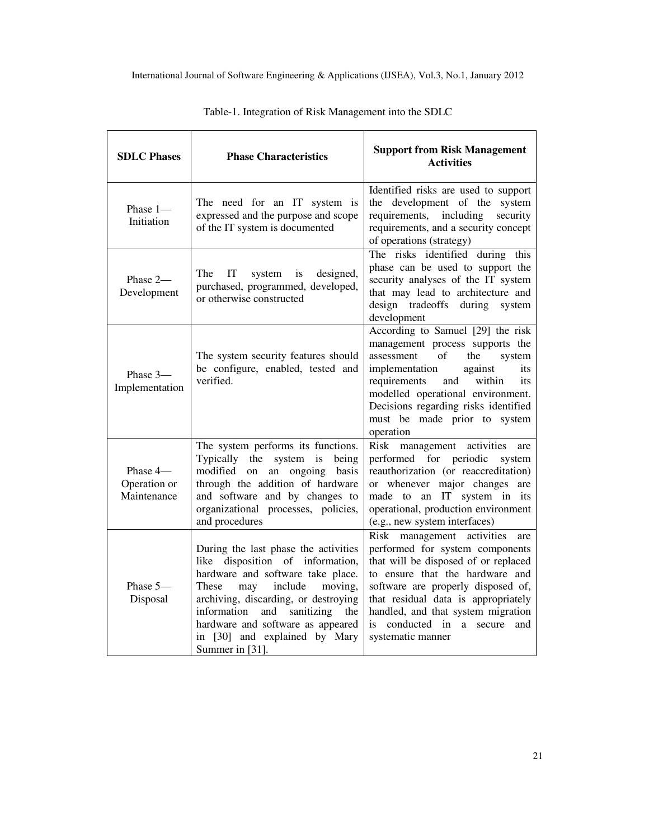| <b>SDLC Phases</b>                      | <b>Phase Characteristics</b>                                                                                                                                                                                                                                                                                              | <b>Support from Risk Management</b><br><b>Activities</b>                                                                                                                                                                                                                                                                      |
|-----------------------------------------|---------------------------------------------------------------------------------------------------------------------------------------------------------------------------------------------------------------------------------------------------------------------------------------------------------------------------|-------------------------------------------------------------------------------------------------------------------------------------------------------------------------------------------------------------------------------------------------------------------------------------------------------------------------------|
| Phase 1-<br>Initiation                  | The need for an IT system is<br>expressed and the purpose and scope<br>of the IT system is documented                                                                                                                                                                                                                     | Identified risks are used to support<br>the development of the system<br>requirements, including<br>security<br>requirements, and a security concept<br>of operations (strategy)                                                                                                                                              |
| Phase 2-<br>Development                 | The<br>IT<br>designed,<br>system<br>is<br>purchased, programmed, developed,<br>or otherwise constructed                                                                                                                                                                                                                   | The risks identified during this<br>phase can be used to support the<br>security analyses of the IT system<br>that may lead to architecture and<br>design tradeoffs during system<br>development                                                                                                                              |
| Phase 3-<br>Implementation              | The system security features should<br>be configure, enabled, tested and<br>verified.                                                                                                                                                                                                                                     | According to Samuel [29] the risk<br>management process supports the<br>of<br>the<br>assessment<br>system<br>implementation<br>against<br>its<br>requirements<br>and<br>within<br>its<br>modelled operational environment.<br>Decisions regarding risks identified<br>must be made prior to system<br>operation               |
| Phase 4-<br>Operation or<br>Maintenance | The system performs its functions.<br>Typically the system is being<br>modified<br>on an ongoing basis<br>through the addition of hardware<br>and software and by changes to<br>organizational processes, policies,<br>and procedures                                                                                     | Risk management activities<br>are<br>performed for periodic<br>system<br>reauthorization (or reaccreditation)<br>or whenever major changes are<br>an IT system in its<br>made to<br>operational, production environment<br>(e.g., new system interfaces)                                                                      |
| Phase 5-<br>Disposal                    | During the last phase the activities<br>like disposition of information,<br>hardware and software take place.<br>include<br>moving,<br>These<br>may<br>archiving, discarding, or destroying<br>information<br>and sanitizing the<br>hardware and software as appeared<br>in [30] and explained by Mary<br>Summer in [31]. | Risk management activities<br>are<br>performed for system components<br>that will be disposed of or replaced<br>to ensure that the hardware and<br>software are properly disposed of,<br>that residual data is appropriately<br>handled, and that system migration<br>conducted in a secure<br>is<br>and<br>systematic manner |

Table-1. Integration of Risk Management into the SDLC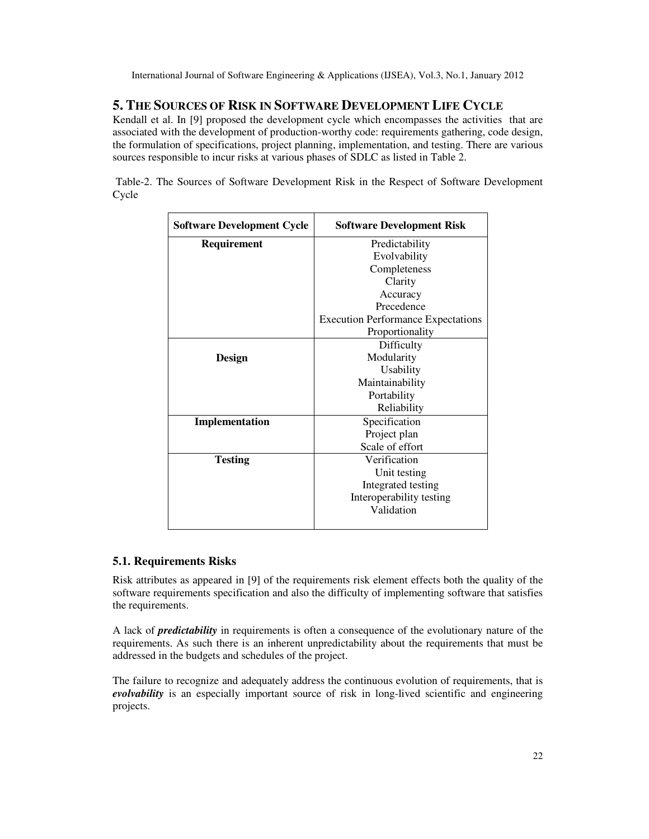# **5. THE SOURCES OF RISK IN SOFTWARE DEVELOPMENT LIFE CYCLE**

Kendall et al. In [9] proposed the development cycle which encompasses the activities that are associated with the development of production-worthy code: requirements gathering, code design, the formulation of specifications, project planning, implementation, and testing. There are various sources responsible to incur risks at various phases of SDLC as listed in Table 2.

Table-2. The Sources of Software Development Risk in the Respect of Software Development Cycle

| <b>Software Development Cycle</b> | <b>Software Development Risk</b>          |
|-----------------------------------|-------------------------------------------|
| Requirement                       | Predictability                            |
|                                   | Evolvability                              |
|                                   | Completeness                              |
|                                   | Clarity                                   |
|                                   | Accuracy                                  |
|                                   | Precedence                                |
|                                   | <b>Execution Performance Expectations</b> |
|                                   | Proportionality                           |
|                                   | Difficulty                                |
| <b>Design</b>                     | Modularity                                |
|                                   | Usability                                 |
|                                   | Maintainability                           |
|                                   | Portability                               |
|                                   | Reliability                               |
| Implementation                    | Specification                             |
|                                   | Project plan                              |
|                                   | Scale of effort                           |
| <b>Testing</b>                    | Verification                              |
|                                   | Unit testing                              |
|                                   | Integrated testing                        |
|                                   | Interoperability testing                  |
|                                   | Validation                                |
|                                   |                                           |

### **5.1. Requirements Risks**

Risk attributes as appeared in [9] of the requirements risk element effects both the quality of the software requirements specification and also the difficulty of implementing software that satisfies the requirements.

A lack of *predictability* in requirements is often a consequence of the evolutionary nature of the requirements. As such there is an inherent unpredictability about the requirements that must be addressed in the budgets and schedules of the project.

The failure to recognize and adequately address the continuous evolution of requirements, that is *evolvability* is an especially important source of risk in long-lived scientific and engineering projects.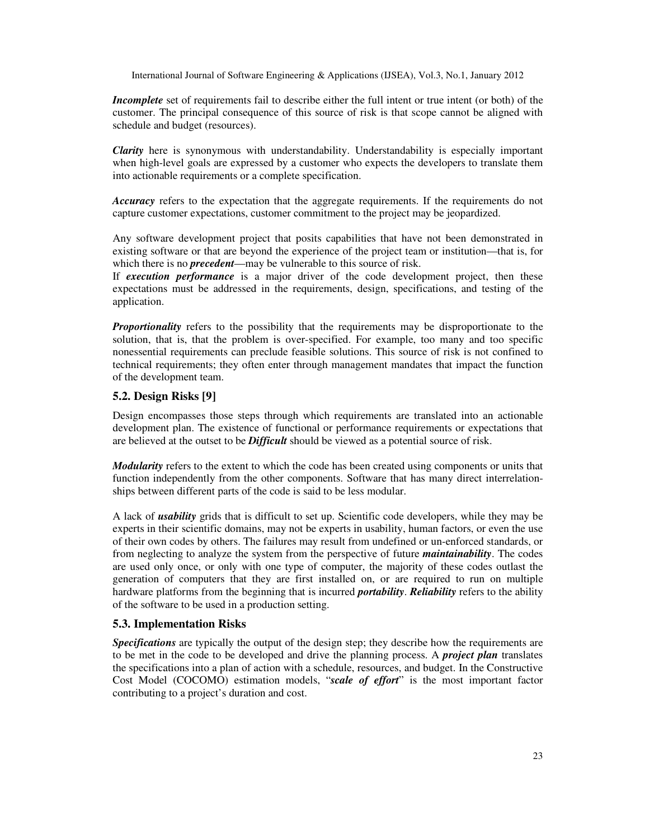*Incomplete* set of requirements fail to describe either the full intent or true intent (or both) of the customer. The principal consequence of this source of risk is that scope cannot be aligned with schedule and budget (resources).

*Clarity* here is synonymous with understandability. Understandability is especially important when high-level goals are expressed by a customer who expects the developers to translate them into actionable requirements or a complete specification.

*Accuracy* refers to the expectation that the aggregate requirements. If the requirements do not capture customer expectations, customer commitment to the project may be jeopardized.

Any software development project that posits capabilities that have not been demonstrated in existing software or that are beyond the experience of the project team or institution—that is, for which there is no *precedent*—may be vulnerable to this source of risk.

If *execution performance* is a major driver of the code development project, then these expectations must be addressed in the requirements, design, specifications, and testing of the application.

*Proportionality* refers to the possibility that the requirements may be disproportionate to the solution, that is, that the problem is over-specified. For example, too many and too specific nonessential requirements can preclude feasible solutions. This source of risk is not confined to technical requirements; they often enter through management mandates that impact the function of the development team.

#### **5.2. Design Risks [9]**

Design encompasses those steps through which requirements are translated into an actionable development plan. The existence of functional or performance requirements or expectations that are believed at the outset to be *Difficult* should be viewed as a potential source of risk.

*Modularity* refers to the extent to which the code has been created using components or units that function independently from the other components. Software that has many direct interrelationships between different parts of the code is said to be less modular.

A lack of *usability* grids that is difficult to set up. Scientific code developers, while they may be experts in their scientific domains, may not be experts in usability, human factors, or even the use of their own codes by others. The failures may result from undefined or un-enforced standards, or from neglecting to analyze the system from the perspective of future *maintainability*. The codes are used only once, or only with one type of computer, the majority of these codes outlast the generation of computers that they are first installed on, or are required to run on multiple hardware platforms from the beginning that is incurred *portability*. *Reliability* refers to the ability of the software to be used in a production setting.

#### **5.3. Implementation Risks**

*Specifications* are typically the output of the design step; they describe how the requirements are to be met in the code to be developed and drive the planning process. A *project plan* translates the specifications into a plan of action with a schedule, resources, and budget. In the Constructive Cost Model (COCOMO) estimation models, "*scale of effort*" is the most important factor contributing to a project's duration and cost.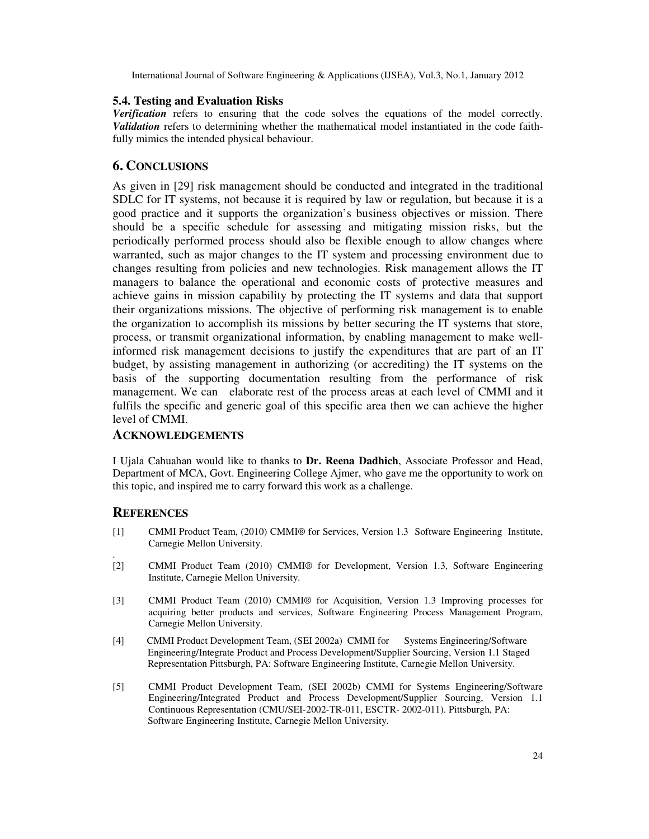#### **5.4. Testing and Evaluation Risks**

*Verification* refers to ensuring that the code solves the equations of the model correctly. *Validation* refers to determining whether the mathematical model instantiated in the code faithfully mimics the intended physical behaviour.

## **6. CONCLUSIONS**

As given in [29] risk management should be conducted and integrated in the traditional SDLC for IT systems, not because it is required by law or regulation, but because it is a good practice and it supports the organization's business objectives or mission. There should be a specific schedule for assessing and mitigating mission risks, but the periodically performed process should also be flexible enough to allow changes where warranted, such as major changes to the IT system and processing environment due to changes resulting from policies and new technologies. Risk management allows the IT managers to balance the operational and economic costs of protective measures and achieve gains in mission capability by protecting the IT systems and data that support their organizations missions. The objective of performing risk management is to enable the organization to accomplish its missions by better securing the IT systems that store, process, or transmit organizational information, by enabling management to make wellinformed risk management decisions to justify the expenditures that are part of an IT budget, by assisting management in authorizing (or accrediting) the IT systems on the basis of the supporting documentation resulting from the performance of risk management. We can elaborate rest of the process areas at each level of CMMI and it fulfils the specific and generic goal of this specific area then we can achieve the higher level of CMMI.

### **ACKNOWLEDGEMENTS**

I Ujala Cahuahan would like to thanks to **Dr. Reena Dadhich**, Associate Professor and Head, Department of MCA, Govt. Engineering College Ajmer, who gave me the opportunity to work on this topic, and inspired me to carry forward this work as a challenge.

### **REFERENCES**

.

- [1] CMMI Product Team, (2010) CMMI® for Services, Version 1.3 Software Engineering Institute, Carnegie Mellon University.
- [2] CMMI Product Team (2010) CMMI® for Development, Version 1.3, Software Engineering Institute, Carnegie Mellon University.
- [3] CMMI Product Team (2010) CMMI® for Acquisition, Version 1.3 Improving processes for acquiring better products and services, Software Engineering Process Management Program, Carnegie Mellon University.
- [4] CMMI Product Development Team, (SEI 2002a) CMMI for Systems Engineering/Software Engineering/Integrate Product and Process Development/Supplier Sourcing, Version 1.1 Staged Representation Pittsburgh, PA: Software Engineering Institute, Carnegie Mellon University.
- [5]CMMI Product Development Team, (SEI 2002b) CMMI for Systems Engineering/Software Engineering/Integrated Product and Process Development/Supplier Sourcing, Version 1.1 Continuous Representation (CMU/SEI-2002-TR-011, ESCTR- 2002-011). Pittsburgh, PA: Software Engineering Institute, Carnegie Mellon University.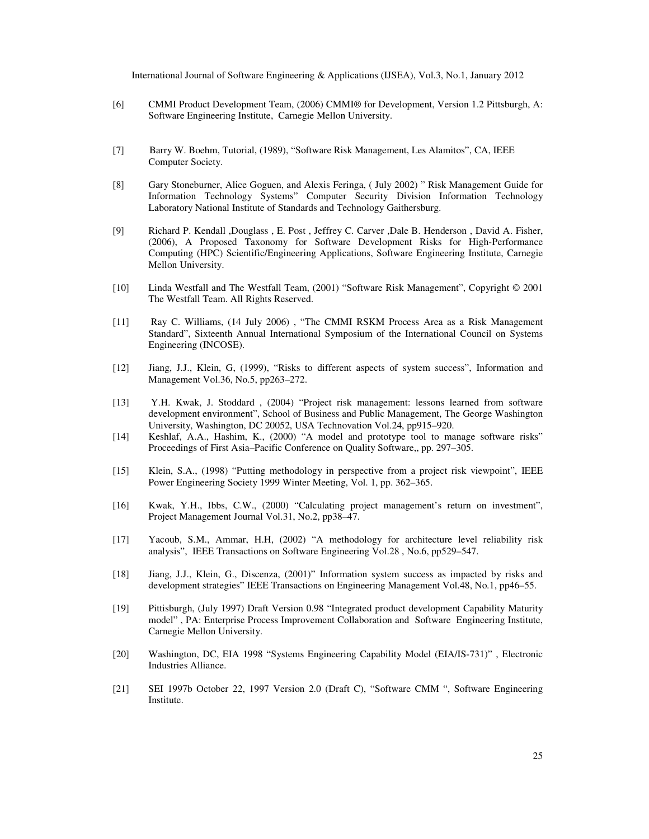- [6]CMMI Product Development Team, (2006) CMMI® for Development, Version 1.2 Pittsburgh, A: Software Engineering Institute, Carnegie Mellon University.
- [7] Barry W. Boehm, Tutorial, (1989), "Software Risk Management, Les Alamitos", CA, IEEE Computer Society.
- [8] Gary Stoneburner, Alice Goguen, and Alexis Feringa, ( July 2002) " Risk Management Guide for Information Technology Systems" Computer Security Division Information Technology Laboratory National Institute of Standards and Technology Gaithersburg.
- [9] Richard P. Kendall ,Douglass , E. Post , Jeffrey C. Carver ,Dale B. Henderson , David A. Fisher, (2006), A Proposed Taxonomy for Software Development Risks for High-Performance Computing (HPC) Scientific/Engineering Applications, Software Engineering Institute, Carnegie Mellon University.
- [10] Linda Westfall and The Westfall Team, (2001) "Software Risk Management", Copyright © 2001 The Westfall Team. All Rights Reserved.
- [11] Ray C. Williams, (14 July 2006) , "The CMMI RSKM Process Area as a Risk Management Standard", Sixteenth Annual International Symposium of the International Council on Systems Engineering (INCOSE).
- [12] Jiang, J.J., Klein, G, (1999), "Risks to different aspects of system success", Information and Management Vol.36, No.5, pp263–272.
- [13] Y.H. Kwak, J. Stoddard , (2004) "Project risk management: lessons learned from software development environment", School of Business and Public Management, The George Washington University, Washington, DC 20052, USA Technovation Vol.24, pp915–920.
- [14] Keshlaf, A.A., Hashim, K., (2000) "A model and prototype tool to manage software risks" Proceedings of First Asia–Pacific Conference on Quality Software,, pp. 297–305.
- [15] Klein, S.A., (1998) "Putting methodology in perspective from a project risk viewpoint", IEEE Power Engineering Society 1999 Winter Meeting, Vol. 1, pp. 362–365.
- [16] Kwak, Y.H., Ibbs, C.W., (2000) "Calculating project management's return on investment", Project Management Journal Vol.31, No.2, pp38–47.
- [17] Yacoub, S.M., Ammar, H.H, (2002) "A methodology for architecture level reliability risk analysis", IEEE Transactions on Software Engineering Vol.28 , No.6, pp529–547.
- [18] Jiang, J.J., Klein, G., Discenza, (2001)" Information system success as impacted by risks and development strategies" IEEE Transactions on Engineering Management Vol.48, No.1, pp46–55.
- [19] Pittisburgh, (July 1997) Draft Version 0.98 "Integrated product development Capability Maturity model" , PA: Enterprise Process Improvement Collaboration and Software Engineering Institute, Carnegie Mellon University.
- [20] Washington, DC, EIA 1998 "Systems Engineering Capability Model (EIA/IS-731)" , Electronic Industries Alliance.
- [21] SEI 1997b October 22, 1997 Version 2.0 (Draft C), "Software CMM ", Software Engineering Institute.